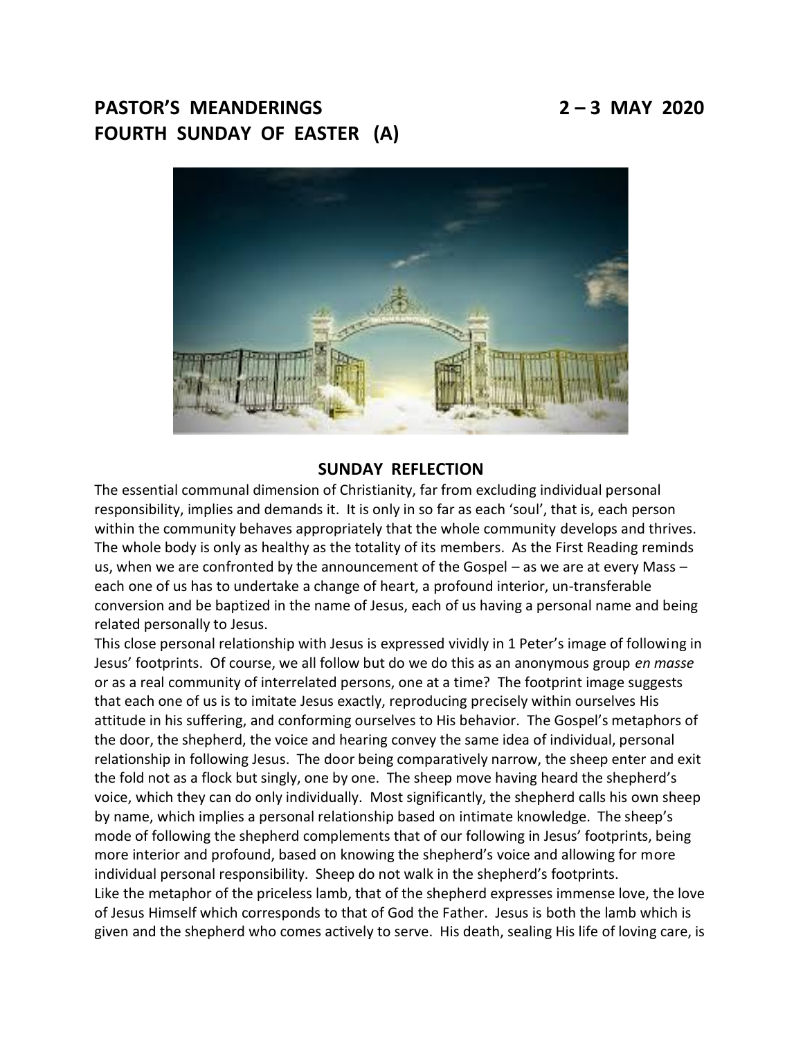# **PASTOR'S MEANDERINGS 2 – 3 MAY 2020 FOURTH SUNDAY OF EASTER (A)**



# **SUNDAY REFLECTION**

The essential communal dimension of Christianity, far from excluding individual personal responsibility, implies and demands it. It is only in so far as each 'soul', that is, each person within the community behaves appropriately that the whole community develops and thrives. The whole body is only as healthy as the totality of its members. As the First Reading reminds us, when we are confronted by the announcement of the Gospel – as we are at every Mass – each one of us has to undertake a change of heart, a profound interior, un-transferable conversion and be baptized in the name of Jesus, each of us having a personal name and being related personally to Jesus.

This close personal relationship with Jesus is expressed vividly in 1 Peter's image of following in Jesus' footprints. Of course, we all follow but do we do this as an anonymous group *en masse* or as a real community of interrelated persons, one at a time? The footprint image suggests that each one of us is to imitate Jesus exactly, reproducing precisely within ourselves His attitude in his suffering, and conforming ourselves to His behavior. The Gospel's metaphors of the door, the shepherd, the voice and hearing convey the same idea of individual, personal relationship in following Jesus. The door being comparatively narrow, the sheep enter and exit the fold not as a flock but singly, one by one. The sheep move having heard the shepherd's voice, which they can do only individually. Most significantly, the shepherd calls his own sheep by name, which implies a personal relationship based on intimate knowledge. The sheep's mode of following the shepherd complements that of our following in Jesus' footprints, being more interior and profound, based on knowing the shepherd's voice and allowing for more individual personal responsibility. Sheep do not walk in the shepherd's footprints. Like the metaphor of the priceless lamb, that of the shepherd expresses immense love, the love

of Jesus Himself which corresponds to that of God the Father. Jesus is both the lamb which is given and the shepherd who comes actively to serve. His death, sealing His life of loving care, is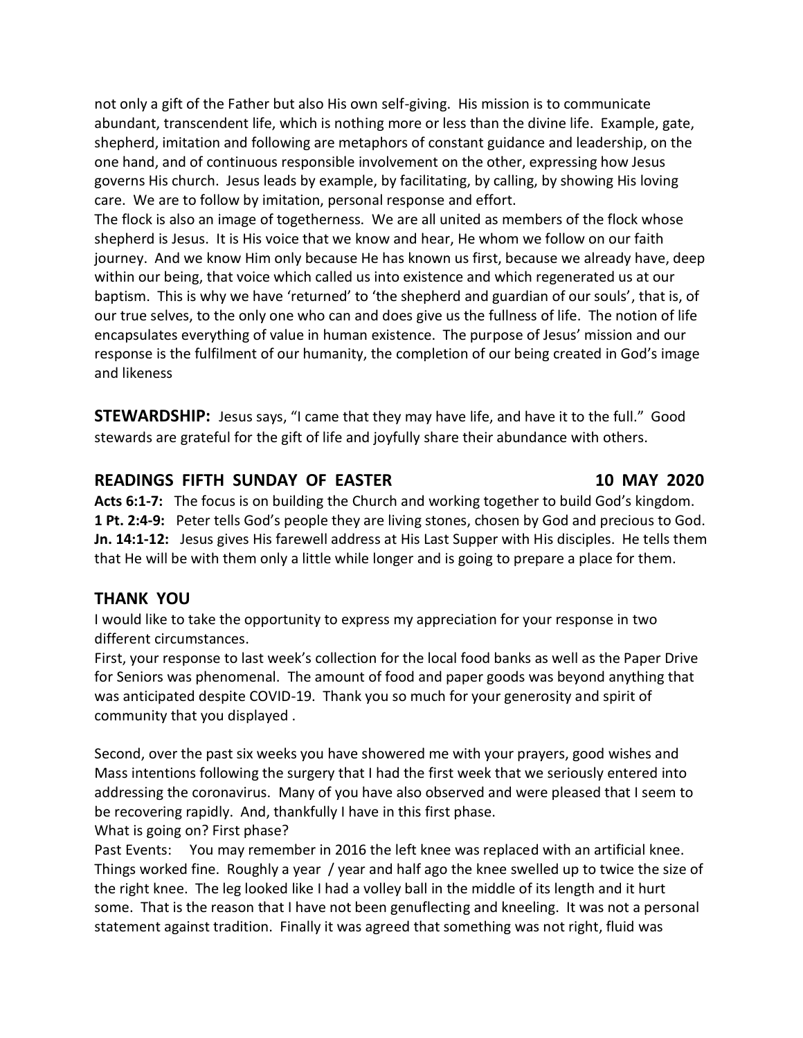not only a gift of the Father but also His own self-giving. His mission is to communicate abundant, transcendent life, which is nothing more or less than the divine life. Example, gate, shepherd, imitation and following are metaphors of constant guidance and leadership, on the one hand, and of continuous responsible involvement on the other, expressing how Jesus governs His church. Jesus leads by example, by facilitating, by calling, by showing His loving care. We are to follow by imitation, personal response and effort.

The flock is also an image of togetherness. We are all united as members of the flock whose shepherd is Jesus. It is His voice that we know and hear, He whom we follow on our faith journey. And we know Him only because He has known us first, because we already have, deep within our being, that voice which called us into existence and which regenerated us at our baptism. This is why we have 'returned' to 'the shepherd and guardian of our souls', that is, of our true selves, to the only one who can and does give us the fullness of life. The notion of life encapsulates everything of value in human existence. The purpose of Jesus' mission and our response is the fulfilment of our humanity, the completion of our being created in God's image and likeness

**STEWARDSHIP:** Jesus says, "I came that they may have life, and have it to the full." Good stewards are grateful for the gift of life and joyfully share their abundance with others.

# **READINGS FIFTH SUNDAY OF EASTER 10 MAY 2020**

**Acts 6:1-7:** The focus is on building the Church and working together to build God's kingdom. **1 Pt. 2:4-9:** Peter tells God's people they are living stones, chosen by God and precious to God. **Jn. 14:1-12:** Jesus gives His farewell address at His Last Supper with His disciples. He tells them that He will be with them only a little while longer and is going to prepare a place for them.

# **THANK YOU**

I would like to take the opportunity to express my appreciation for your response in two different circumstances.

First, your response to last week's collection for the local food banks as well as the Paper Drive for Seniors was phenomenal. The amount of food and paper goods was beyond anything that was anticipated despite COVID-19. Thank you so much for your generosity and spirit of community that you displayed .

Second, over the past six weeks you have showered me with your prayers, good wishes and Mass intentions following the surgery that I had the first week that we seriously entered into addressing the coronavirus. Many of you have also observed and were pleased that I seem to be recovering rapidly. And, thankfully I have in this first phase.

What is going on? First phase?

Past Events: You may remember in 2016 the left knee was replaced with an artificial knee. Things worked fine. Roughly a year / year and half ago the knee swelled up to twice the size of the right knee. The leg looked like I had a volley ball in the middle of its length and it hurt some. That is the reason that I have not been genuflecting and kneeling. It was not a personal statement against tradition. Finally it was agreed that something was not right, fluid was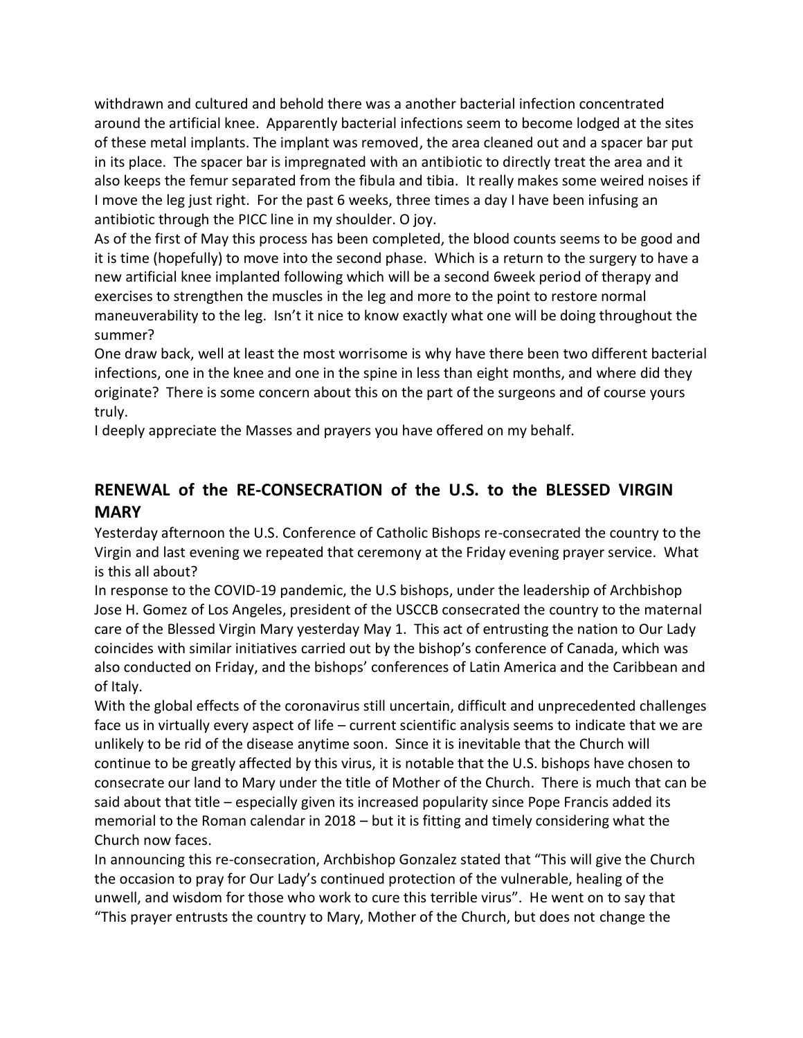withdrawn and cultured and behold there was a another bacterial infection concentrated around the artificial knee. Apparently bacterial infections seem to become lodged at the sites of these metal implants. The implant was removed, the area cleaned out and a spacer bar put in its place. The spacer bar is impregnated with an antibiotic to directly treat the area and it also keeps the femur separated from the fibula and tibia. It really makes some weired noises if I move the leg just right. For the past 6 weeks, three times a day I have been infusing an antibiotic through the PICC line in my shoulder. O joy.

As of the first of May this process has been completed, the blood counts seems to be good and it is time (hopefully) to move into the second phase. Which is a return to the surgery to have a new artificial knee implanted following which will be a second 6week period of therapy and exercises to strengthen the muscles in the leg and more to the point to restore normal maneuverability to the leg. Isn't it nice to know exactly what one will be doing throughout the summer?

One draw back, well at least the most worrisome is why have there been two different bacterial infections, one in the knee and one in the spine in less than eight months, and where did they originate? There is some concern about this on the part of the surgeons and of course yours truly.

I deeply appreciate the Masses and prayers you have offered on my behalf.

# **RENEWAL of the RE-CONSECRATION of the U.S. to the BLESSED VIRGIN MARY**

Yesterday afternoon the U.S. Conference of Catholic Bishops re-consecrated the country to the Virgin and last evening we repeated that ceremony at the Friday evening prayer service. What is this all about?

In response to the COVID-19 pandemic, the U.S bishops, under the leadership of Archbishop Jose H. Gomez of Los Angeles, president of the USCCB consecrated the country to the maternal care of the Blessed Virgin Mary yesterday May 1. This act of entrusting the nation to Our Lady coincides with similar initiatives carried out by the bishop's conference of Canada, which was also conducted on Friday, and the bishops' conferences of Latin America and the Caribbean and of Italy.

With the global effects of the coronavirus still uncertain, difficult and unprecedented challenges face us in virtually every aspect of life – current scientific analysis seems to indicate that we are unlikely to be rid of the disease anytime soon. Since it is inevitable that the Church will continue to be greatly affected by this virus, it is notable that the U.S. bishops have chosen to consecrate our land to Mary under the title of Mother of the Church. There is much that can be said about that title – especially given its increased popularity since Pope Francis added its memorial to the Roman calendar in 2018 – but it is fitting and timely considering what the Church now faces.

In announcing this re-consecration, Archbishop Gonzalez stated that "This will give the Church the occasion to pray for Our Lady's continued protection of the vulnerable, healing of the unwell, and wisdom for those who work to cure this terrible virus". He went on to say that "This prayer entrusts the country to Mary, Mother of the Church, but does not change the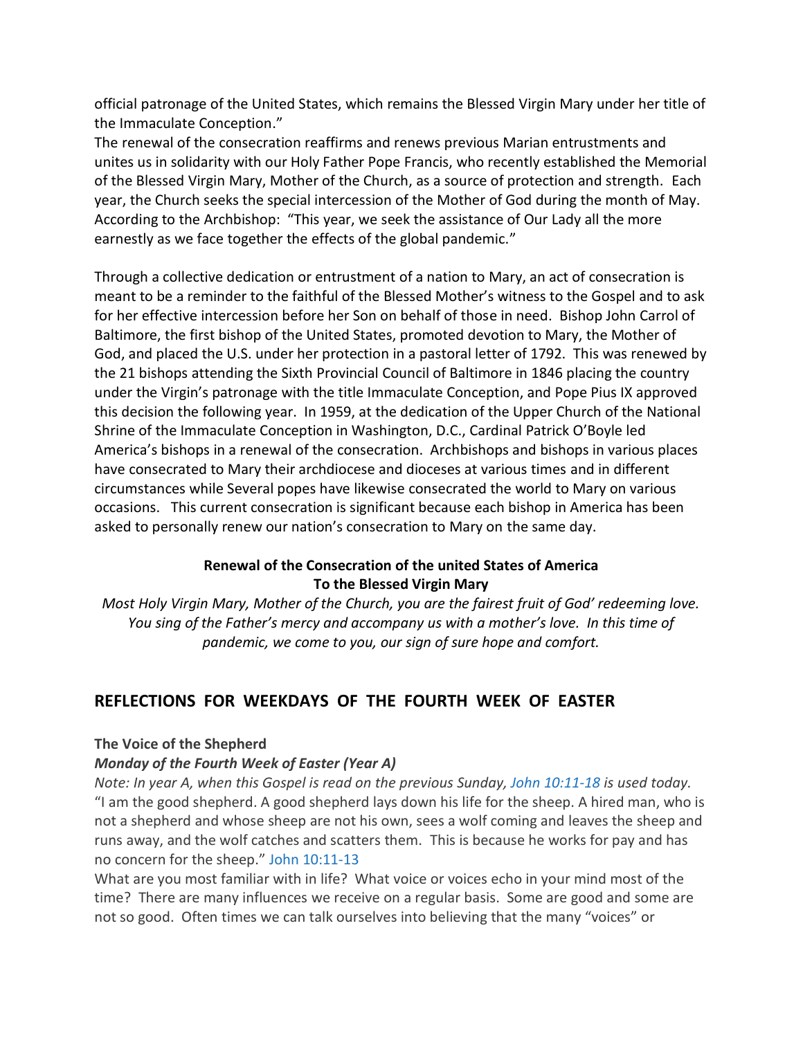official patronage of the United States, which remains the Blessed Virgin Mary under her title of the Immaculate Conception."

The renewal of the consecration reaffirms and renews previous Marian entrustments and unites us in solidarity with our Holy Father Pope Francis, who recently established the Memorial of the Blessed Virgin Mary, Mother of the Church, as a source of protection and strength. Each year, the Church seeks the special intercession of the Mother of God during the month of May. According to the Archbishop: "This year, we seek the assistance of Our Lady all the more earnestly as we face together the effects of the global pandemic."

Through a collective dedication or entrustment of a nation to Mary, an act of consecration is meant to be a reminder to the faithful of the Blessed Mother's witness to the Gospel and to ask for her effective intercession before her Son on behalf of those in need. Bishop John Carrol of Baltimore, the first bishop of the United States, promoted devotion to Mary, the Mother of God, and placed the U.S. under her protection in a pastoral letter of 1792. This was renewed by the 21 bishops attending the Sixth Provincial Council of Baltimore in 1846 placing the country under the Virgin's patronage with the title Immaculate Conception, and Pope Pius IX approved this decision the following year. In 1959, at the dedication of the Upper Church of the National Shrine of the Immaculate Conception in Washington, D.C., Cardinal Patrick O'Boyle led America's bishops in a renewal of the consecration. Archbishops and bishops in various places have consecrated to Mary their archdiocese and dioceses at various times and in different circumstances while Several popes have likewise consecrated the world to Mary on various occasions. This current consecration is significant because each bishop in America has been asked to personally renew our nation's consecration to Mary on the same day.

# **Renewal of the Consecration of the united States of America To the Blessed Virgin Mary**

*Most Holy Virgin Mary, Mother of the Church, you are the fairest fruit of God' redeeming love. You sing of the Father's mercy and accompany us with a mother's love. In this time of pandemic, we come to you, our sign of sure hope and comfort.*

# **REFLECTIONS FOR WEEKDAYS OF THE FOURTH WEEK OF EASTER**

# **The Voice of the Shepherd**

# *Monday of the Fourth Week of Easter (Year A)*

*Note: In year A, when this Gospel is read on the previous Sunday, John [10:11-18](https://biblia.com/bible/rsvce/John%2010.11-18) is used today.* "I am the good shepherd. A good shepherd lays down his life for the sheep. A hired man, who is not a shepherd and whose sheep are not his own, sees a wolf coming and leaves the sheep and runs away, and the wolf catches and scatters them. This is because he works for pay and has no concern for the sheep." John [10:11-13](https://biblia.com/bible/rsvce/John%2010.11-13)

What are you most familiar with in life? What voice or voices echo in your mind most of the time? There are many influences we receive on a regular basis. Some are good and some are not so good. Often times we can talk ourselves into believing that the many "voices" or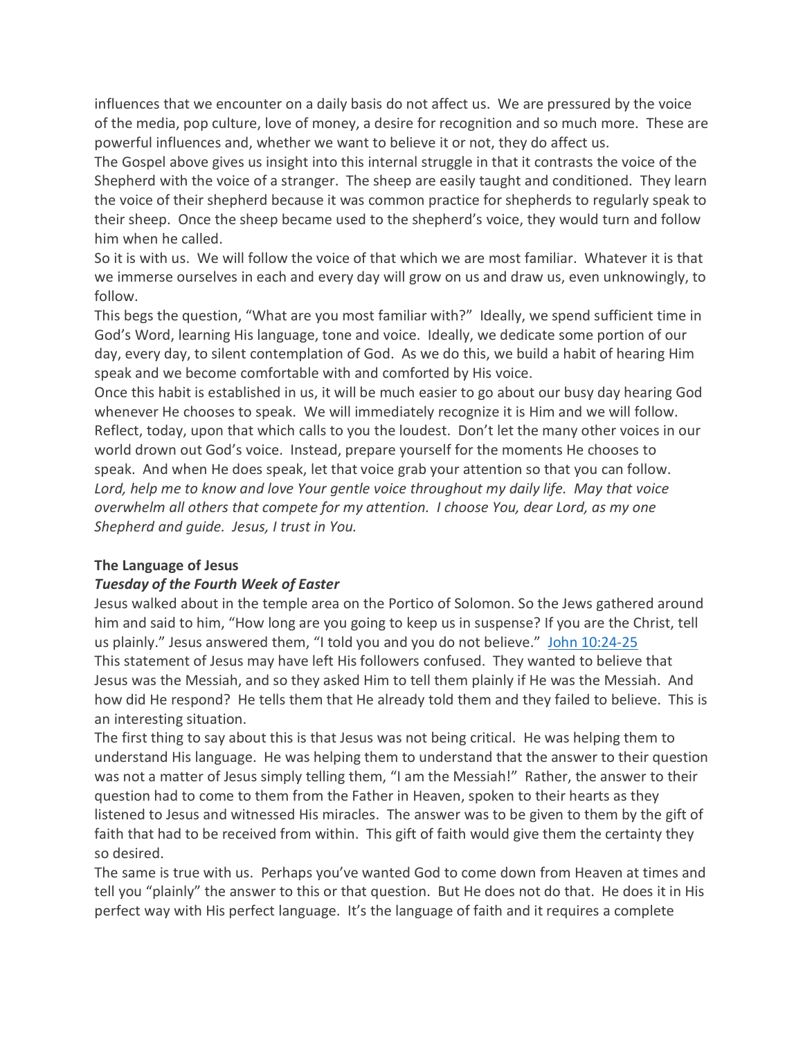influences that we encounter on a daily basis do not affect us. We are pressured by the voice of the media, pop culture, love of money, a desire for recognition and so much more. These are powerful influences and, whether we want to believe it or not, they do affect us.

The Gospel above gives us insight into this internal struggle in that it contrasts the voice of the Shepherd with the voice of a stranger. The sheep are easily taught and conditioned. They learn the voice of their shepherd because it was common practice for shepherds to regularly speak to their sheep. Once the sheep became used to the shepherd's voice, they would turn and follow him when he called.

So it is with us. We will follow the voice of that which we are most familiar. Whatever it is that we immerse ourselves in each and every day will grow on us and draw us, even unknowingly, to follow.

This begs the question, "What are you most familiar with?" Ideally, we spend sufficient time in God's Word, learning His language, tone and voice. Ideally, we dedicate some portion of our day, every day, to silent contemplation of God. As we do this, we build a habit of hearing Him speak and we become comfortable with and comforted by His voice.

Once this habit is established in us, it will be much easier to go about our busy day hearing God whenever He chooses to speak. We will immediately recognize it is Him and we will follow. Reflect, today, upon that which calls to you the loudest. Don't let the many other voices in our world drown out God's voice. Instead, prepare yourself for the moments He chooses to speak. And when He does speak, let that voice grab your attention so that you can follow. *Lord, help me to know and love Your gentle voice throughout my daily life. May that voice overwhelm all others that compete for my attention. I choose You, dear Lord, as my one Shepherd and guide. Jesus, I trust in You.*

#### **The Language of Jesus**

# *Tuesday of the Fourth Week of Easter*

Jesus walked about in the temple area on the Portico of Solomon. So the Jews gathered around him and said to him, "How long are you going to keep us in suspense? If you are the Christ, tell us plainly." Jesus answered them, "I told you and you do not believe." John [10:24-25](https://biblia.com/bible/rsvce/John%2010.24-25) This statement of Jesus may have left His followers confused. They wanted to believe that Jesus was the Messiah, and so they asked Him to tell them plainly if He was the Messiah. And how did He respond? He tells them that He already told them and they failed to believe. This is an interesting situation.

The first thing to say about this is that Jesus was not being critical. He was helping them to understand His language. He was helping them to understand that the answer to their question was not a matter of Jesus simply telling them, "I am the Messiah!" Rather, the answer to their question had to come to them from the Father in Heaven, spoken to their hearts as they listened to Jesus and witnessed His miracles. The answer was to be given to them by the gift of faith that had to be received from within. This gift of faith would give them the certainty they so desired.

The same is true with us. Perhaps you've wanted God to come down from Heaven at times and tell you "plainly" the answer to this or that question. But He does not do that. He does it in His perfect way with His perfect language. It's the language of faith and it requires a complete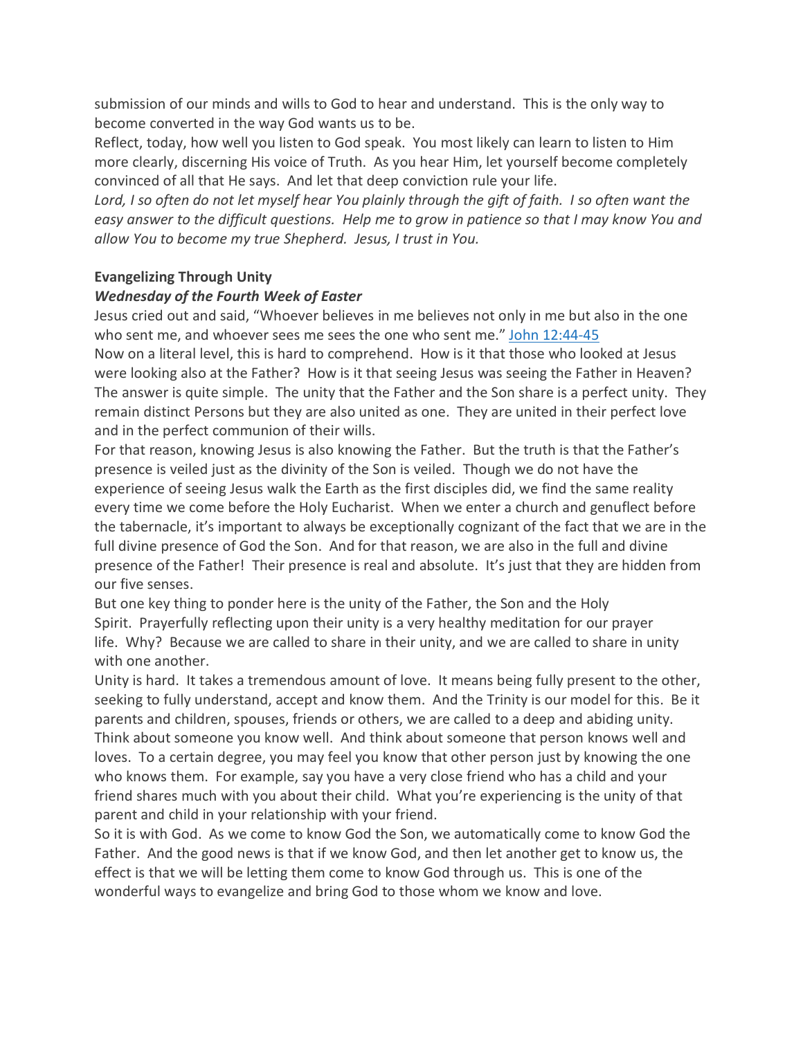submission of our minds and wills to God to hear and understand. This is the only way to become converted in the way God wants us to be.

Reflect, today, how well you listen to God speak. You most likely can learn to listen to Him more clearly, discerning His voice of Truth. As you hear Him, let yourself become completely convinced of all that He says. And let that deep conviction rule your life.

Lord, I so often do not let myself hear You plainly through the gift of faith. I so often want the easy answer to the difficult questions. Help me to grow in patience so that I may know You and *allow You to become my true Shepherd. Jesus, I trust in You.*

# **Evangelizing Through Unity**

# *Wednesday of the Fourth Week of Easter*

Jesus cried out and said, "Whoever believes in me believes not only in me but also in the one who sent me, and whoever sees me sees the one who sent me." John [12:44-45](https://biblia.com/bible/rsvce/John%2012.44-45)

Now on a literal level, this is hard to comprehend. How is it that those who looked at Jesus were looking also at the Father? How is it that seeing Jesus was seeing the Father in Heaven? The answer is quite simple. The unity that the Father and the Son share is a perfect unity. They remain distinct Persons but they are also united as one. They are united in their perfect love and in the perfect communion of their wills.

For that reason, knowing Jesus is also knowing the Father. But the truth is that the Father's presence is veiled just as the divinity of the Son is veiled. Though we do not have the experience of seeing Jesus walk the Earth as the first disciples did, we find the same reality every time we come before the Holy Eucharist. When we enter a church and genuflect before the tabernacle, it's important to always be exceptionally cognizant of the fact that we are in the full divine presence of God the Son. And for that reason, we are also in the full and divine presence of the Father! Their presence is real and absolute. It's just that they are hidden from our five senses.

But one key thing to ponder here is the unity of the Father, the Son and the Holy Spirit. Prayerfully reflecting upon their unity is a very healthy meditation for our prayer life. Why? Because we are called to share in their unity, and we are called to share in unity with one another.

Unity is hard. It takes a tremendous amount of love. It means being fully present to the other, seeking to fully understand, accept and know them. And the Trinity is our model for this. Be it parents and children, spouses, friends or others, we are called to a deep and abiding unity. Think about someone you know well. And think about someone that person knows well and loves. To a certain degree, you may feel you know that other person just by knowing the one who knows them. For example, say you have a very close friend who has a child and your friend shares much with you about their child. What you're experiencing is the unity of that parent and child in your relationship with your friend.

So it is with God. As we come to know God the Son, we automatically come to know God the Father. And the good news is that if we know God, and then let another get to know us, the effect is that we will be letting them come to know God through us. This is one of the wonderful ways to evangelize and bring God to those whom we know and love.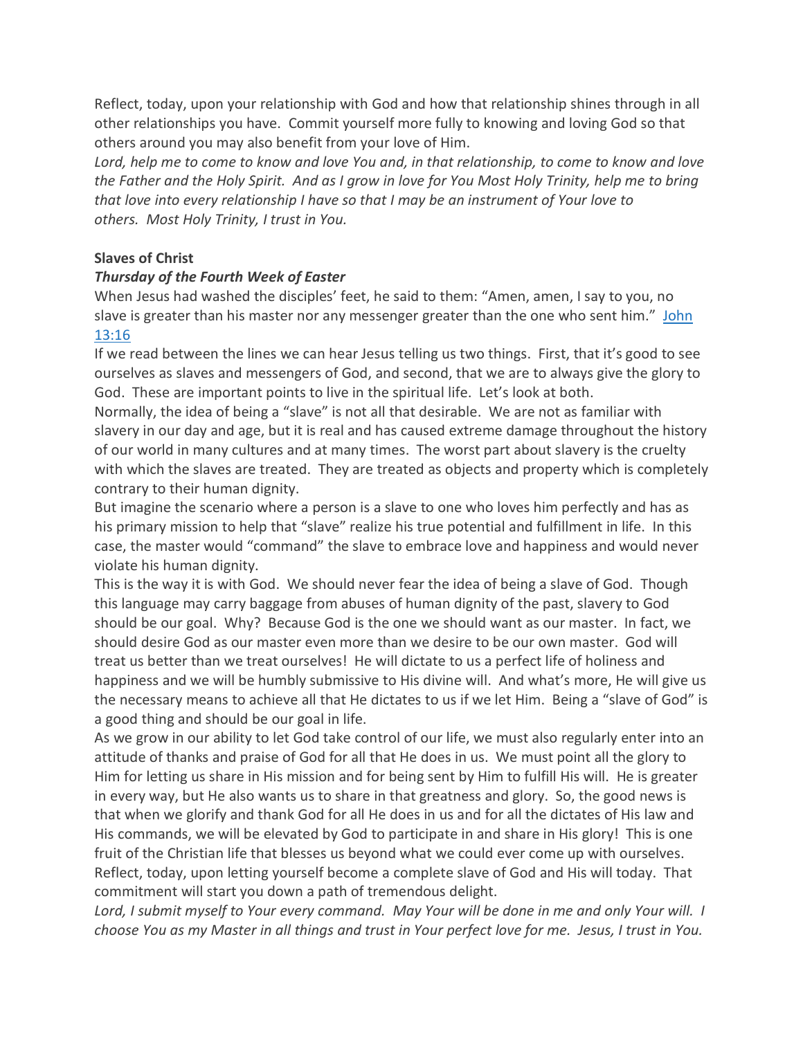Reflect, today, upon your relationship with God and how that relationship shines through in all other relationships you have. Commit yourself more fully to knowing and loving God so that others around you may also benefit from your love of Him.

Lord, help me to come to know and love You and, in that relationship, to come to know and love the Father and the Holy Spirit. And as I grow in love for You Most Holy Trinity, help me to bring *that love into every relationship I have so that I may be an instrument of Your love to others. Most Holy Trinity, I trust in You.*

### **Slaves of Christ**

#### *Thursday of the Fourth Week of Easter*

When Jesus had washed the disciples' feet, he said to them: "Amen, amen, I say to you, no slave is greater than his master nor any messenger greater than the one who sent him." [John](https://biblia.com/bible/rsvce/John%2013.16) [13:16](https://biblia.com/bible/rsvce/John%2013.16)

If we read between the lines we can hear Jesus telling us two things. First, that it's good to see ourselves as slaves and messengers of God, and second, that we are to always give the glory to God. These are important points to live in the spiritual life. Let's look at both.

Normally, the idea of being a "slave" is not all that desirable. We are not as familiar with slavery in our day and age, but it is real and has caused extreme damage throughout the history of our world in many cultures and at many times. The worst part about slavery is the cruelty with which the slaves are treated. They are treated as objects and property which is completely contrary to their human dignity.

But imagine the scenario where a person is a slave to one who loves him perfectly and has as his primary mission to help that "slave" realize his true potential and fulfillment in life. In this case, the master would "command" the slave to embrace love and happiness and would never violate his human dignity.

This is the way it is with God. We should never fear the idea of being a slave of God. Though this language may carry baggage from abuses of human dignity of the past, slavery to God should be our goal. Why? Because God is the one we should want as our master. In fact, we should desire God as our master even more than we desire to be our own master. God will treat us better than we treat ourselves! He will dictate to us a perfect life of holiness and happiness and we will be humbly submissive to His divine will. And what's more, He will give us the necessary means to achieve all that He dictates to us if we let Him. Being a "slave of God" is a good thing and should be our goal in life.

As we grow in our ability to let God take control of our life, we must also regularly enter into an attitude of thanks and praise of God for all that He does in us. We must point all the glory to Him for letting us share in His mission and for being sent by Him to fulfill His will. He is greater in every way, but He also wants us to share in that greatness and glory. So, the good news is that when we glorify and thank God for all He does in us and for all the dictates of His law and His commands, we will be elevated by God to participate in and share in His glory! This is one fruit of the Christian life that blesses us beyond what we could ever come up with ourselves. Reflect, today, upon letting yourself become a complete slave of God and His will today. That commitment will start you down a path of tremendous delight.

Lord, I submit myself to Your every command. May Your will be done in me and only Your will. I choose You as my Master in all things and trust in Your perfect love for me. Jesus, I trust in You.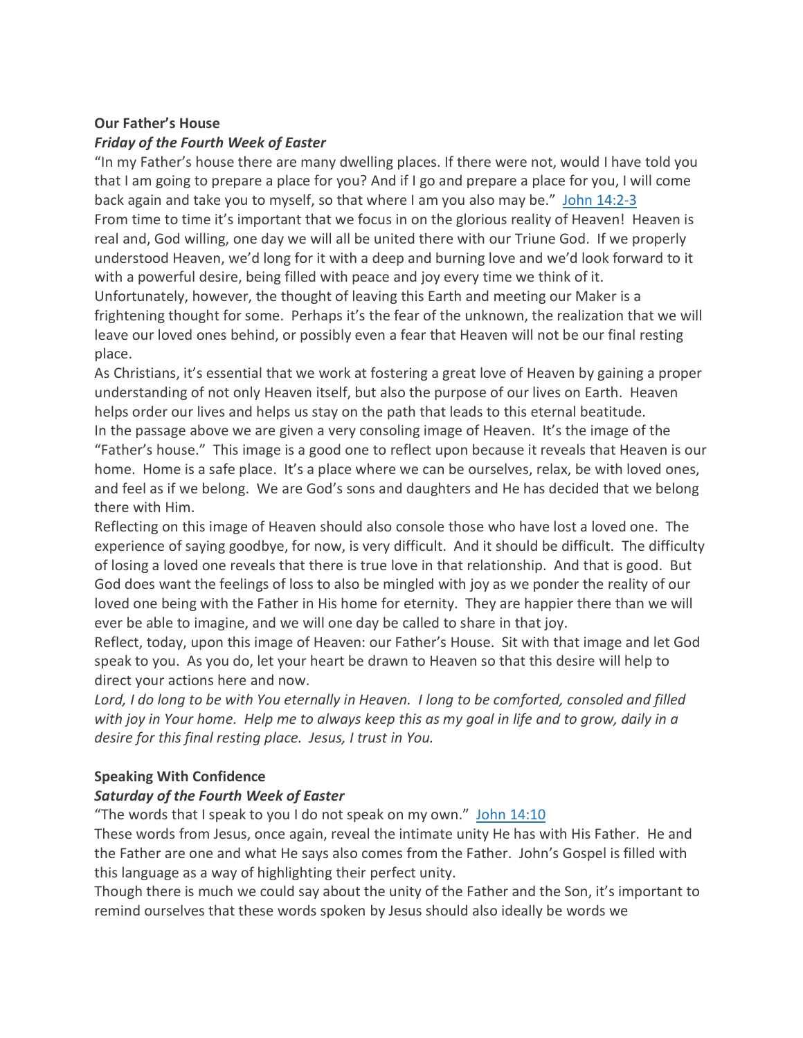### **Our Father's House** *Friday of the Fourth Week of Easter*

"In my Father's house there are many dwelling places. If there were not, would I have told you that I am going to prepare a place for you? And if I go and prepare a place for you, I will come back again and take you to myself, so that where I am you also may be." John [14:2-3](https://biblia.com/bible/rsvce/John%2014.2-3) From time to time it's important that we focus in on the glorious reality of Heaven! Heaven is real and, God willing, one day we will all be united there with our Triune God. If we properly understood Heaven, we'd long for it with a deep and burning love and we'd look forward to it with a powerful desire, being filled with peace and joy every time we think of it. Unfortunately, however, the thought of leaving this Earth and meeting our Maker is a frightening thought for some. Perhaps it's the fear of the unknown, the realization that we will leave our loved ones behind, or possibly even a fear that Heaven will not be our final resting place.

As Christians, it's essential that we work at fostering a great love of Heaven by gaining a proper understanding of not only Heaven itself, but also the purpose of our lives on Earth. Heaven helps order our lives and helps us stay on the path that leads to this eternal beatitude. In the passage above we are given a very consoling image of Heaven. It's the image of the "Father's house." This image is a good one to reflect upon because it reveals that Heaven is our home. Home is a safe place. It's a place where we can be ourselves, relax, be with loved ones, and feel as if we belong. We are God's sons and daughters and He has decided that we belong there with Him.

Reflecting on this image of Heaven should also console those who have lost a loved one. The experience of saying goodbye, for now, is very difficult. And it should be difficult. The difficulty of losing a loved one reveals that there is true love in that relationship. And that is good. But God does want the feelings of loss to also be mingled with joy as we ponder the reality of our loved one being with the Father in His home for eternity. They are happier there than we will ever be able to imagine, and we will one day be called to share in that joy.

Reflect, today, upon this image of Heaven: our Father's House. Sit with that image and let God speak to you. As you do, let your heart be drawn to Heaven so that this desire will help to direct your actions here and now.

Lord, I do long to be with You eternally in Heaven. I long to be comforted, consoled and filled with joy in Your home. Help me to always keep this as my goal in life and to grow, daily in a *desire for this final resting place. Jesus, I trust in You.*

# **Speaking With Confidence**

# *Saturday of the Fourth Week of Easter*

"The words that I speak to you I do not speak on my own." John [14:10](https://biblia.com/bible/rsvce/John%2014.10)

These words from Jesus, once again, reveal the intimate unity He has with His Father. He and the Father are one and what He says also comes from the Father. John's Gospel is filled with this language as a way of highlighting their perfect unity.

Though there is much we could say about the unity of the Father and the Son, it's important to remind ourselves that these words spoken by Jesus should also ideally be words we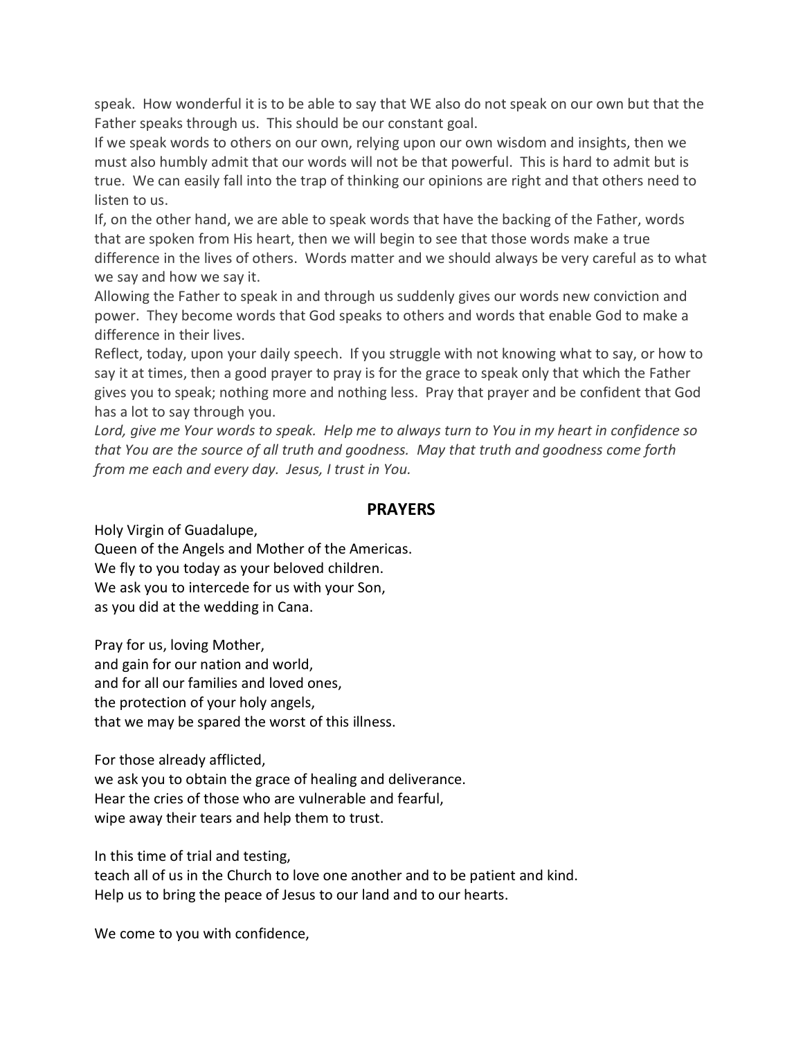speak. How wonderful it is to be able to say that WE also do not speak on our own but that the Father speaks through us. This should be our constant goal.

If we speak words to others on our own, relying upon our own wisdom and insights, then we must also humbly admit that our words will not be that powerful. This is hard to admit but is true. We can easily fall into the trap of thinking our opinions are right and that others need to listen to us.

If, on the other hand, we are able to speak words that have the backing of the Father, words that are spoken from His heart, then we will begin to see that those words make a true difference in the lives of others. Words matter and we should always be very careful as to what we say and how we say it.

Allowing the Father to speak in and through us suddenly gives our words new conviction and power. They become words that God speaks to others and words that enable God to make a difference in their lives.

Reflect, today, upon your daily speech. If you struggle with not knowing what to say, or how to say it at times, then a good prayer to pray is for the grace to speak only that which the Father gives you to speak; nothing more and nothing less. Pray that prayer and be confident that God has a lot to say through you.

Lord, give me Your words to speak. Help me to always turn to You in my heart in confidence so *that You are the source of all truth and goodness. May that truth and goodness come forth from me each and every day. Jesus, I trust in You.*

# **PRAYERS**

Holy Virgin of Guadalupe,

Queen of the Angels and Mother of the Americas. We fly to you today as your beloved children. We ask you to intercede for us with your Son, as you did at the wedding in Cana.

Pray for us, loving Mother, and gain for our nation and world, and for all our families and loved ones, the protection of your holy angels, that we may be spared the worst of this illness.

For those already afflicted,

we ask you to obtain the grace of healing and deliverance. Hear the cries of those who are vulnerable and fearful, wipe away their tears and help them to trust.

In this time of trial and testing,

teach all of us in the Church to love one another and to be patient and kind. Help us to bring the peace of Jesus to our land and to our hearts.

We come to you with confidence,